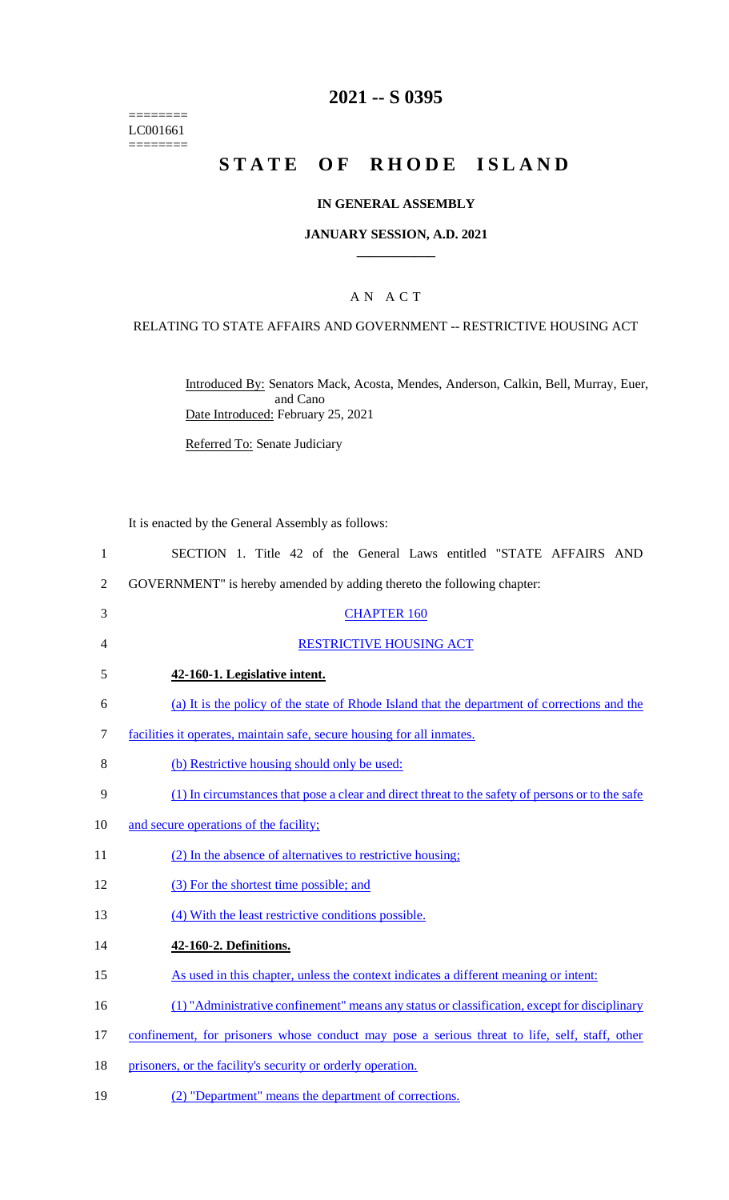======== LC001661  $=$ 

# **2021 -- S 0395**

# **STATE OF RHODE ISLAND**

## **IN GENERAL ASSEMBLY**

#### **JANUARY SESSION, A.D. 2021 \_\_\_\_\_\_\_\_\_\_\_\_**

## A N A C T

### RELATING TO STATE AFFAIRS AND GOVERNMENT -- RESTRICTIVE HOUSING ACT

Introduced By: Senators Mack, Acosta, Mendes, Anderson, Calkin, Bell, Murray, Euer, and Cano Date Introduced: February 25, 2021

Referred To: Senate Judiciary

It is enacted by the General Assembly as follows:

| $\mathbf{1}$   | SECTION 1. Title 42 of the General Laws entitled "STATE AFFAIRS AND                              |
|----------------|--------------------------------------------------------------------------------------------------|
| $\overline{2}$ | GOVERNMENT" is hereby amended by adding thereto the following chapter:                           |
| 3              | <b>CHAPTER 160</b>                                                                               |
| 4              | RESTRICTIVE HOUSING ACT                                                                          |
| 5              | 42-160-1. Legislative intent.                                                                    |
| 6              | (a) It is the policy of the state of Rhode Island that the department of corrections and the     |
| 7              | facilities it operates, maintain safe, secure housing for all inmates.                           |
| 8              | (b) Restrictive housing should only be used:                                                     |
| 9              | (1) In circumstances that pose a clear and direct threat to the safety of persons or to the safe |
| 10             | and secure operations of the facility;                                                           |
| 11             | (2) In the absence of alternatives to restrictive housing;                                       |
| 12             | (3) For the shortest time possible; and                                                          |
| 13             | (4) With the least restrictive conditions possible.                                              |
| 14             | 42-160-2. Definitions.                                                                           |
| 15             | As used in this chapter, unless the context indicates a different meaning or intent:             |
| 16             | (1) "Administrative confinement" means any status or classification, except for disciplinary     |
| 17             | confinement, for prisoners whose conduct may pose a serious threat to life, self, staff, other   |
| 18             | prisoners, or the facility's security or orderly operation.                                      |
| 19             | (2) "Department" means the department of corrections.                                            |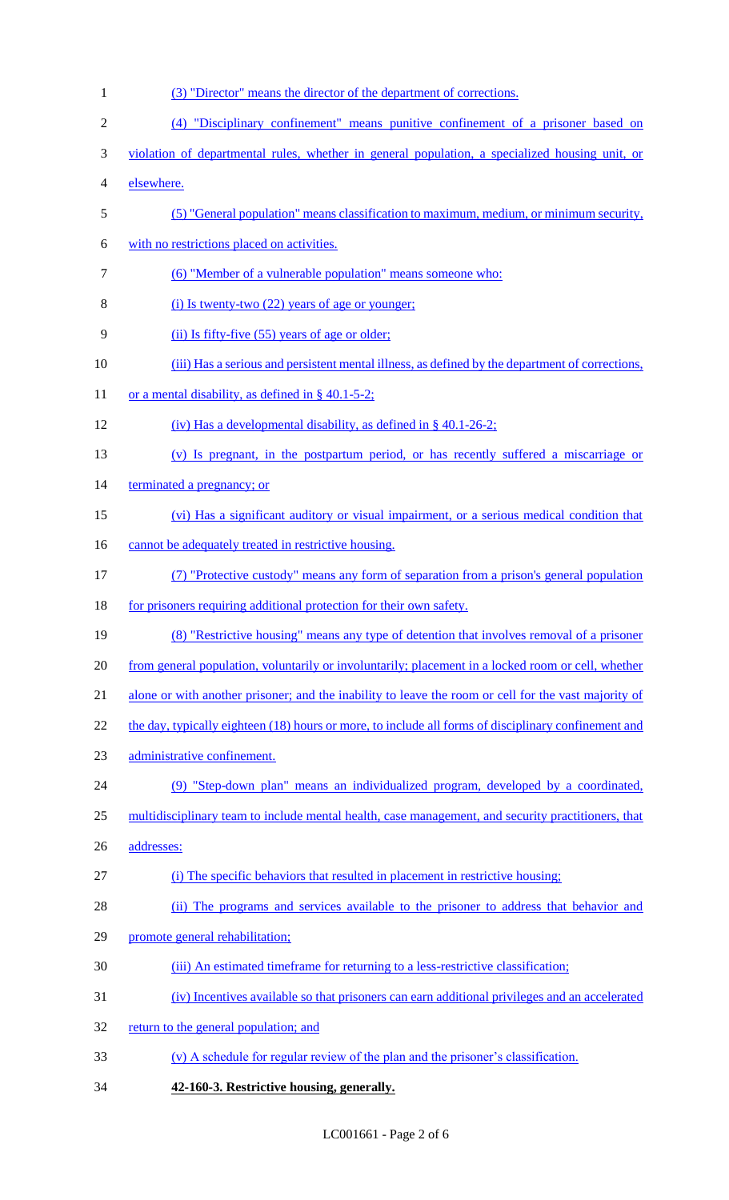- (3) "Director" means the director of the department of corrections. (4) "Disciplinary confinement" means punitive confinement of a prisoner based on violation of departmental rules, whether in general population, a specialized housing unit, or elsewhere. (5) "General population" means classification to maximum, medium, or minimum security, with no restrictions placed on activities. (6) "Member of a vulnerable population" means someone who: (i) Is twenty-two (22) years of age or younger; (ii) Is fifty-five (55) years of age or older; (iii) Has a serious and persistent mental illness, as defined by the department of corrections, 11 or a mental disability, as defined in  $\S$  40.1-5-2; (iv) Has a developmental disability, as defined in § 40.1-26-2; (v) Is pregnant, in the postpartum period, or has recently suffered a miscarriage or 14 terminated a pregnancy; or (vi) Has a significant auditory or visual impairment, or a serious medical condition that 16 cannot be adequately treated in restrictive housing. (7) "Protective custody" means any form of separation from a prison's general population 18 for prisoners requiring additional protection for their own safety. (8) "Restrictive housing" means any type of detention that involves removal of a prisoner from general population, voluntarily or involuntarily; placement in a locked room or cell, whether alone or with another prisoner; and the inability to leave the room or cell for the vast majority of 22 the day, typically eighteen (18) hours or more, to include all forms of disciplinary confinement and administrative confinement. (9) "Step-down plan" means an individualized program, developed by a coordinated, multidisciplinary team to include mental health, case management, and security practitioners, that addresses: (i) The specific behaviors that resulted in placement in restrictive housing; (ii) The programs and services available to the prisoner to address that behavior and promote general rehabilitation; (iii) An estimated timeframe for returning to a less-restrictive classification; (iv) Incentives available so that prisoners can earn additional privileges and an accelerated 32 return to the general population; and (v) A schedule for regular review of the plan and the prisoner's classification.
- **42-160-3. Restrictive housing, generally.**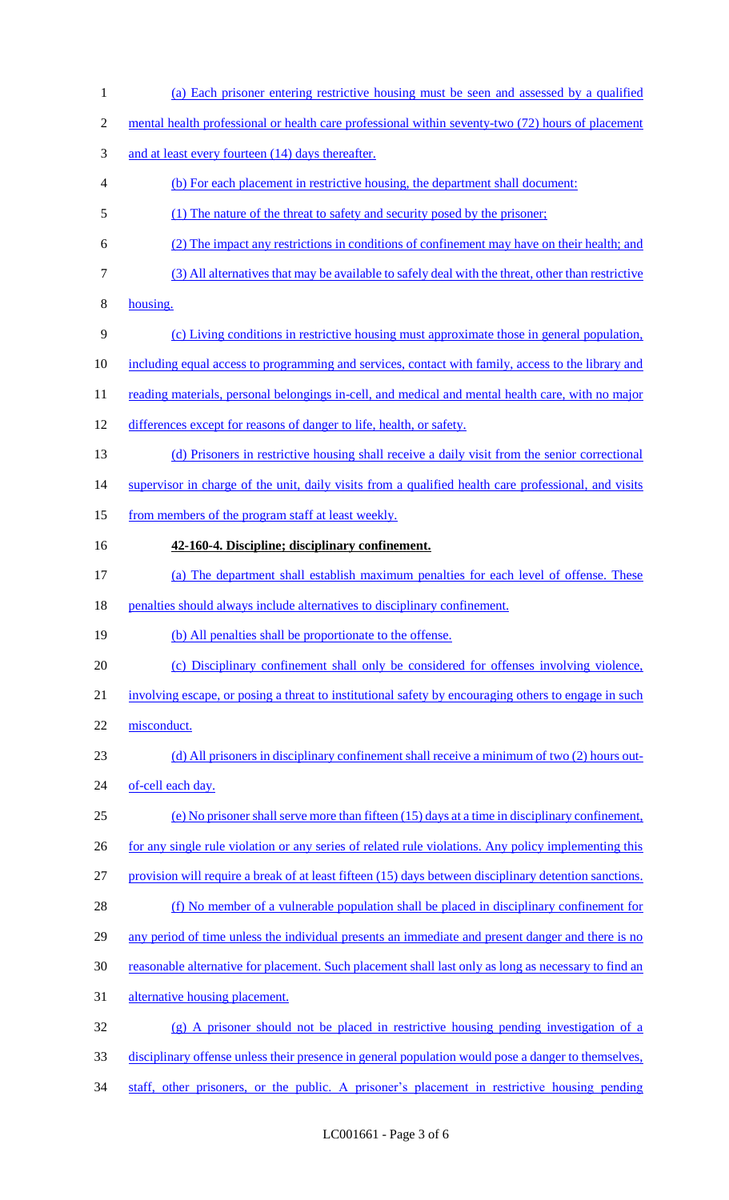2 mental health professional or health care professional within seventy-two (72) hours of placement 3 and at least every fourteen (14) days thereafter. (b) For each placement in restrictive housing, the department shall document: (1) The nature of the threat to safety and security posed by the prisoner; (2) The impact any restrictions in conditions of confinement may have on their health; and (3) All alternatives that may be available to safely deal with the threat, other than restrictive housing. (c) Living conditions in restrictive housing must approximate those in general population, including equal access to programming and services, contact with family, access to the library and 11 reading materials, personal belongings in-cell, and medical and mental health care, with no major differences except for reasons of danger to life, health, or safety. (d) Prisoners in restrictive housing shall receive a daily visit from the senior correctional 14 supervisor in charge of the unit, daily visits from a qualified health care professional, and visits 15 from members of the program staff at least weekly. **42-160-4. Discipline; disciplinary confinement.**  (a) The department shall establish maximum penalties for each level of offense. These 18 penalties should always include alternatives to disciplinary confinement. (b) All penalties shall be proportionate to the offense. (c) Disciplinary confinement shall only be considered for offenses involving violence, involving escape, or posing a threat to institutional safety by encouraging others to engage in such misconduct. 23 (d) All prisoners in disciplinary confinement shall receive a minimum of two (2) hours out-24 of-cell each day. (e) No prisoner shall serve more than fifteen (15) days at a time in disciplinary confinement, 26 for any single rule violation or any series of related rule violations. Any policy implementing this provision will require a break of at least fifteen (15) days between disciplinary detention sanctions. (f) No member of a vulnerable population shall be placed in disciplinary confinement for 29 any period of time unless the individual presents an immediate and present danger and there is no reasonable alternative for placement. Such placement shall last only as long as necessary to find an alternative housing placement. (g) A prisoner should not be placed in restrictive housing pending investigation of a disciplinary offense unless their presence in general population would pose a danger to themselves, staff, other prisoners, or the public. A prisoner's placement in restrictive housing pending

(a) Each prisoner entering restrictive housing must be seen and assessed by a qualified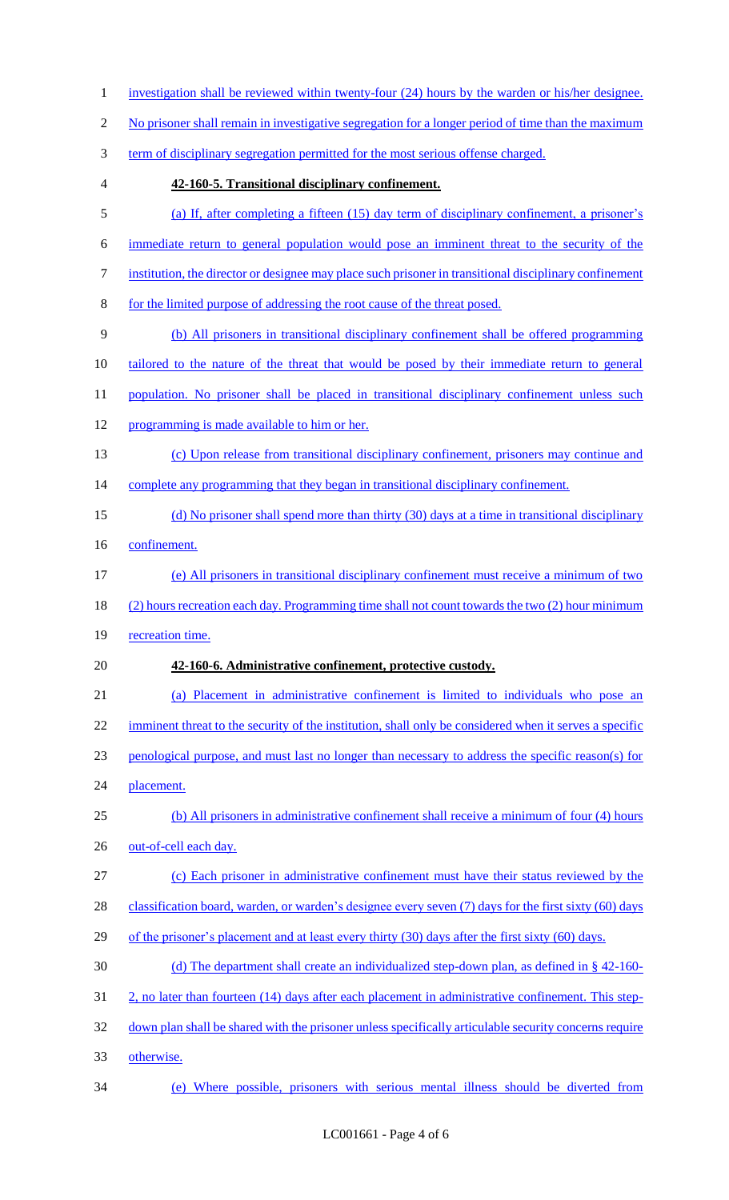- 1 investigation shall be reviewed within twenty-four (24) hours by the warden or his/her designee. 2 No prisoner shall remain in investigative segregation for a longer period of time than the maximum term of disciplinary segregation permitted for the most serious offense charged. **42-160-5. Transitional disciplinary confinement.**  (a) If, after completing a fifteen (15) day term of disciplinary confinement, a prisoner's immediate return to general population would pose an imminent threat to the security of the institution, the director or designee may place such prisoner in transitional disciplinary confinement for the limited purpose of addressing the root cause of the threat posed. (b) All prisoners in transitional disciplinary confinement shall be offered programming tailored to the nature of the threat that would be posed by their immediate return to general 11 population. No prisoner shall be placed in transitional disciplinary confinement unless such programming is made available to him or her. (c) Upon release from transitional disciplinary confinement, prisoners may continue and 14 complete any programming that they began in transitional disciplinary confinement. 15 (d) No prisoner shall spend more than thirty (30) days at a time in transitional disciplinary confinement. (e) All prisoners in transitional disciplinary confinement must receive a minimum of two (2) hours recreation each day. Programming time shall not count towards the two (2) hour minimum 19 recreation time. **42-160-6. Administrative confinement, protective custody.**  (a) Placement in administrative confinement is limited to individuals who pose an 22 imminent threat to the security of the institution, shall only be considered when it serves a specific penological purpose, and must last no longer than necessary to address the specific reason(s) for placement. (b) All prisoners in administrative confinement shall receive a minimum of four (4) hours 26 out-of-cell each day. (c) Each prisoner in administrative confinement must have their status reviewed by the 28 classification board, warden, or warden's designee every seven (7) days for the first sixty (60) days 29 of the prisoner's placement and at least every thirty (30) days after the first sixty (60) days. (d) The department shall create an individualized step-down plan, as defined in § 42-160- 2, no later than fourteen (14) days after each placement in administrative confinement. This step- down plan shall be shared with the prisoner unless specifically articulable security concerns require otherwise. (e) Where possible, prisoners with serious mental illness should be diverted from
	- LC001661 Page 4 of 6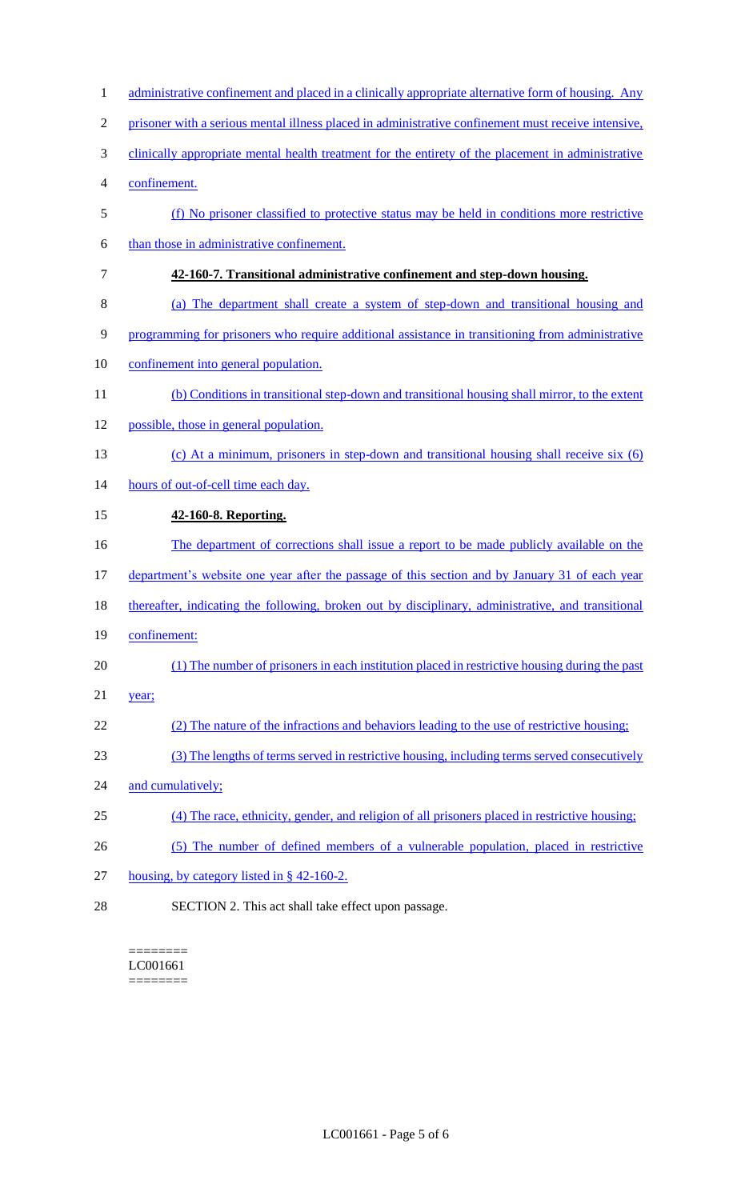| 1              | administrative confinement and placed in a clinically appropriate alternative form of housing. Any  |
|----------------|-----------------------------------------------------------------------------------------------------|
| $\overline{2}$ | prisoner with a serious mental illness placed in administrative confinement must receive intensive, |
| 3              | clinically appropriate mental health treatment for the entirety of the placement in administrative  |
| 4              | confinement.                                                                                        |
| 5              | (f) No prisoner classified to protective status may be held in conditions more restrictive          |
| 6              | than those in administrative confinement.                                                           |
| 7              | 42-160-7. Transitional administrative confinement and step-down housing.                            |
| 8              | (a) The department shall create a system of step-down and transitional housing and                  |
| 9              | programming for prisoners who require additional assistance in transitioning from administrative    |
| 10             | confinement into general population.                                                                |
| 11             | (b) Conditions in transitional step-down and transitional housing shall mirror, to the extent       |
| 12             | possible, those in general population.                                                              |
| 13             | (c) At a minimum, prisoners in step-down and transitional housing shall receive six (6)             |
| 14             | hours of out-of-cell time each day.                                                                 |
| 15             | 42-160-8. Reporting.                                                                                |
| 16             | The department of corrections shall issue a report to be made publicly available on the             |
| 17             | department's website one year after the passage of this section and by January 31 of each year      |
| 18             | thereafter, indicating the following, broken out by disciplinary, administrative, and transitional  |
| 19             | confinement:                                                                                        |
| 20             | (1) The number of prisoners in each institution placed in restrictive housing during the past       |
| 21             | year;                                                                                               |
| 22             | (2) The nature of the infractions and behaviors leading to the use of restrictive housing;          |
| 23             | (3) The lengths of terms served in restrictive housing, including terms served consecutively        |
| 24             | and cumulatively;                                                                                   |
| 25             | (4) The race, ethnicity, gender, and religion of all prisoners placed in restrictive housing;       |
| 26             | (5) The number of defined members of a vulnerable population, placed in restrictive                 |
| 27             | housing, by category listed in $\S$ 42-160-2.                                                       |
|                |                                                                                                     |

SECTION 2. This act shall take effect upon passage.

======== LC001661 ========